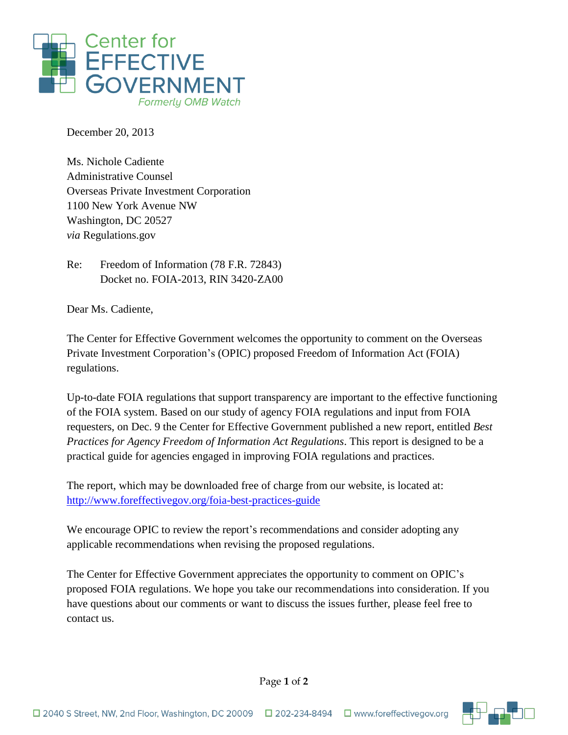

December 20, 2013

Ms. Nichole Cadiente Administrative Counsel Overseas Private Investment Corporation 1100 New York Avenue NW Washington, DC 20527 *via* Regulations.gov

Re: Freedom of Information (78 F.R. 72843) Docket no. FOIA-2013, RIN 3420-ZA00

Dear Ms. Cadiente,

The Center for Effective Government welcomes the opportunity to comment on the Overseas Private Investment Corporation's (OPIC) proposed Freedom of Information Act (FOIA) regulations.

Up-to-date FOIA regulations that support transparency are important to the effective functioning of the FOIA system. Based on our study of agency FOIA regulations and input from FOIA requesters, on Dec. 9 the Center for Effective Government published a new report, entitled *Best Practices for Agency Freedom of Information Act Regulations*. This report is designed to be a practical guide for agencies engaged in improving FOIA regulations and practices.

The report, which may be downloaded free of charge from our website, is located at: <http://www.foreffectivegov.org/foia-best-practices-guide>

We encourage OPIC to review the report's recommendations and consider adopting any applicable recommendations when revising the proposed regulations.

The Center for Effective Government appreciates the opportunity to comment on OPIC's proposed FOIA regulations. We hope you take our recommendations into consideration. If you have questions about our comments or want to discuss the issues further, please feel free to contact us.



Page **1** of **2**